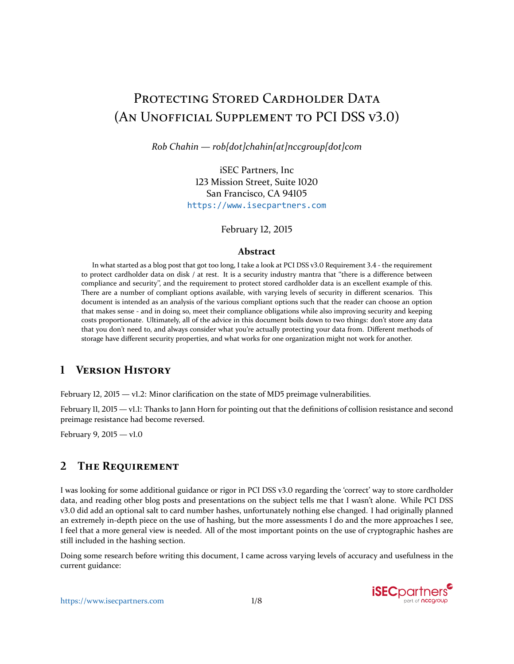# PROTECTING STORED CARDHOLDER DATA (AN UNOFFICIAL SUPPLEMENT TO PCI DSS V3.0)

*Rob Chahin — rob[dot]chahin[at]nccgroup[dot]com*

iSEC Partners, Inc 123 Mission Street, Suite 1020 San Francisco, CA 94105 <https://www.isecpartners.com>

February 12, 2015

#### **Abstract**

In what started as a blog post that got too long, I take a look at PCI DSS v3.0 Requirement 3.4 - the requirement to protect cardholder data on disk / at rest. It is a security industry mantra that "there is a difference between compliance and security'', and the requirement to protect stored cardholder data is an excellent example of this. There are a number of compliant options available, with varying levels of security in different scenarios. This document is intended as an analysis of the various compliant options such that the reader can choose an option that makes sense - and in doing so, meet their compliance obligations while also improving security and keeping costs proportionate. Ultimately, all of the advice in this document boils down to two things: don't store any data that you don't need to, and always consider what you're actually protecting your data from. Different methods of storage have different security properties, and what works for one organization might not work for another.

## **1 VERSION HISTORY**

February 12, 2015 — v1.2: Minor clarification on the state of MD5 preimage vulnerabilities.

February 11, 2015 — v1.1: Thanks to Jann Horn for pointing out that the definitions of collision resistance and second preimage resistance had become reversed.

February 9, 2015 — v1.0

## **2 THE REQUIREMENT**

I was looking for some additional guidance or rigor in PCI DSS v3.0 regarding the `correct' way to store cardholder data, and reading other blog posts and presentations on the subject tells me that I wasn't alone. While PCI DSS v3.0 did add an optional salt to card number hashes, unfortunately nothing else changed. I had originally planned an extremely in-depth piece on the use of hashing, but the more assessments I do and the more approaches I see, I feel that a more general view is needed. All of the most important points on the use of cryptographic hashes are still included in the hashing section.

Doing some research before writing this document, I came across varying levels of accuracy and usefulness in the current guidance:

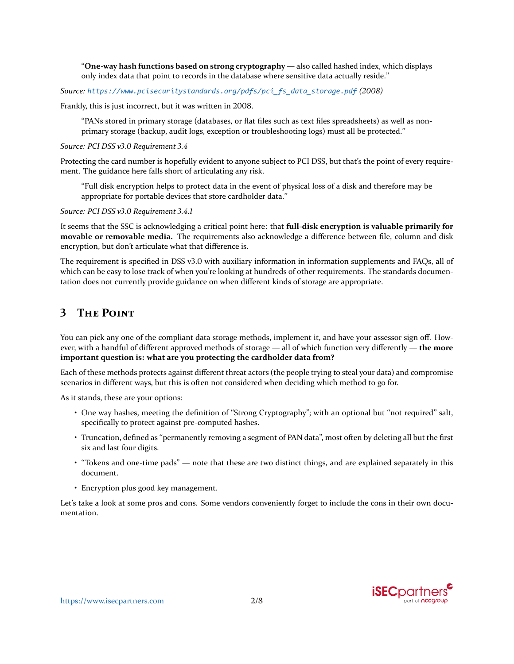``**One-way hash functions based on strong cryptography** — also called hashed index, which displays only index data that point to records in the database where sensitive data actually reside.''

*Source: [https://www.pcisecuritystandards.org/pdfs/pci\\_fs\\_data\\_storage.pdf](https://www.pcisecuritystandards.org/pdfs/pci_fs_data_storage.pdf) (2008)*

Frankly, this is just incorrect, but it was written in 2008.

``PANs stored in primary storage (databases, or flat files such as text files spreadsheets) as well as nonprimary storage (backup, audit logs, exception or troubleshooting logs) must all be protected.''

*Source: PCI DSS v3.0 Requirement 3.4*

Protecting the card number is hopefully evident to anyone subject to PCI DSS, but that's the point of every requirement. The guidance here falls short of articulating any risk.

``Full disk encryption helps to protect data in the event of physical loss of a disk and therefore may be appropriate for portable devices that store cardholder data.''

*Source: PCI DSS v3.0 Requirement 3.4.1*

It seems that the SSC is acknowledging a critical point here: that **full-disk encryption is valuable primarily for movable or removable media.** The requirements also acknowledge a difference between file, column and disk encryption, but don't articulate what that difference is.

The requirement is specified in DSS v3.0 with auxiliary information in information supplements and FAQs, all of which can be easy to lose track of when you're looking at hundreds of other requirements. The standards documentation does not currently provide guidance on when different kinds of storage are appropriate.

## **3 THE POINT**

You can pick any one of the compliant data storage methods, implement it, and have your assessor sign off. However, with a handful of different approved methods of storage — all of which function very differently — **the more important question is: what are you protecting the cardholder data from?**

Each of these methods protects against different threat actors (the people trying to steal your data) and compromise scenarios in different ways, but this is often not considered when deciding which method to go for.

As it stands, these are your options:

- One way hashes, meeting the definition of "Strong Cryptography"; with an optional but "not required" salt, specifically to protect against pre-computed hashes.
- Truncation, defined as ``permanently removing a segment of PAN data'', most often by deleting all but the first six and last four digits.
- $\cdot$  "Tokens and one-time pads" note that these are two distinct things, and are explained separately in this document.
- Encryption plus good key management.

Let's take a look at some pros and cons. Some vendors conveniently forget to include the cons in their own documentation.

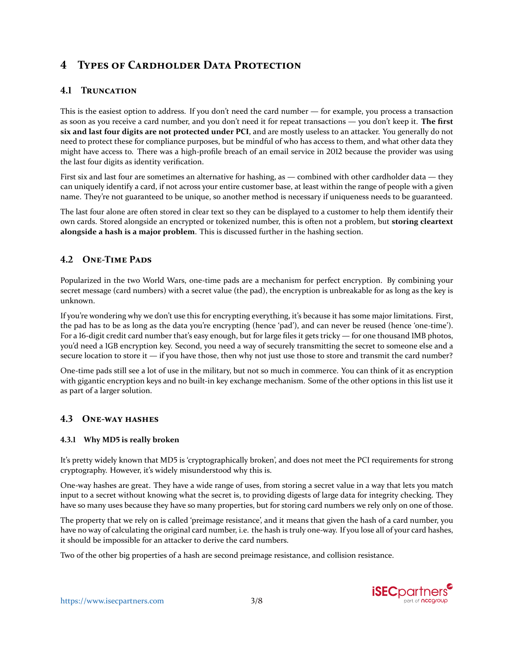## **4 TYPES OF CARDHOLDER DATA PROTECTION**

### **4.1 TRUNCATION**

This is the easiest option to address. If you don't need the card number — for example, you process a transaction as soon as you receive a card number, and you don't need it for repeat transactions — you don't keep it. **The first six and last four digits are not protected under PCI**, and are mostly useless to an attacker. You generally do not need to protect these for compliance purposes, but be mindful of who has access to them, and what other data they might have access to. There was a high-profile breach of an email service in 2012 because the provider was using the last four digits as identity verification.

First six and last four are sometimes an alternative for hashing, as — combined with other cardholder data — they can uniquely identify a card, if not across your entire customer base, at least within the range of people with a given name. They're not guaranteed to be unique, so another method is necessary if uniqueness needs to be guaranteed.

The last four alone are often stored in clear text so they can be displayed to a customer to help them identify their own cards. Stored alongside an encrypted or tokenized number, this is often not a problem, but **storing cleartext alongside a hash is a major problem**. This is discussed further in the hashing section.

## **4.2 ONE-TIME PADS**

Popularized in the two World Wars, one-time pads are a mechanism for perfect encryption. By combining your secret message (card numbers) with a secret value (the pad), the encryption is unbreakable for as long as the key is unknown.

If you're wondering why we don't use this for encrypting everything, it's because it has some major limitations. First, the pad has to be as long as the data you're encrypting (hence 'pad'), and can never be reused (hence 'one-time'). For a 16-digit credit card number that's easy enough, but for large files it gets tricky — for one thousand IMB photos, you'd need a 1GB encryption key. Second, you need a way of securely transmitting the secret to someone else and a secure location to store it  $-$  if you have those, then why not just use those to store and transmit the card number?

One-time pads still see a lot of use in the military, but not so much in commerce. You can think of it as encryption with gigantic encryption keys and no built-in key exchange mechanism. Some of the other options in this list use it as part of a larger solution.

#### **4.3 ONE-WAY HASHES**

#### **4.3.1 Why MD5 is really broken**

It's pretty widely known that MD5 is `cryptographically broken', and does not meet the PCI requirements for strong cryptography. However, it's widely misunderstood why this is.

One-way hashes are great. They have a wide range of uses, from storing a secret value in a way that lets you match input to a secret without knowing what the secret is, to providing digests of large data for integrity checking. They have so many uses because they have so many properties, but for storing card numbers we rely only on one of those.

The property that we rely on is called 'preimage resistance', and it means that given the hash of a card number, you have no way of calculating the original card number, i.e. the hash is truly one-way. If you lose all of your card hashes, it should be impossible for an attacker to derive the card numbers.

Two of the other big properties of a hash are second preimage resistance, and collision resistance.

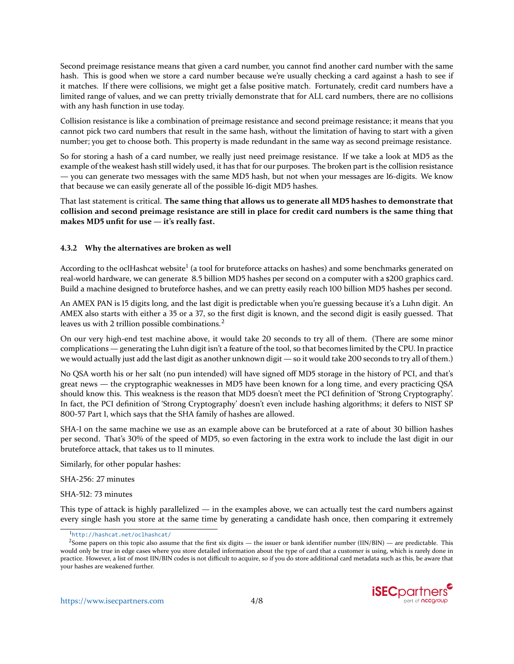Second preimage resistance means that given a card number, you cannot find another card number with the same hash. This is good when we store a card number because we're usually checking a card against a hash to see if it matches. If there were collisions, we might get a false positive match. Fortunately, credit card numbers have a limited range of values, and we can pretty trivially demonstrate that for ALL card numbers, there are no collisions with any hash function in use today.

Collision resistance is like a combination of preimage resistance and second preimage resistance; it means that you cannot pick two card numbers that result in the same hash, without the limitation of having to start with a given number; you get to choose both. This property is made redundant in the same way as second preimage resistance.

So for storing a hash of a card number, we really just need preimage resistance. If we take a look at MD5 as the example of the weakest hash still widely used, it has that for our purposes. The broken part is the collision resistance — you can generate two messages with the same MD5 hash, but not when your messages are 16-digits. We know that because we can easily generate all of the possible 16-digit MD5 hashes.

That last statement is critical. **The same thing that allows us to generate all MD5 hashes to demonstrate that collision and second preimage resistance are still in place for credit card numbers is the same thing that makes MD5 unfit for use — it's really fast.**

#### **4.3.2 Why the alternatives are broken as well**

According to the oclHashcat website<sup>[1](#page-3-0)</sup> (a tool for bruteforce attacks on hashes) and some benchmarks generated on real-world hardware, we can generate 8.5 billion MD5 hashes per second on a computer with a \$200 graphics card. Build a machine designed to bruteforce hashes, and we can pretty easily reach 100 billion MD5 hashes per second.

An AMEX PAN is 15 digits long, and the last digit is predictable when you're guessing because it's a Luhn digit. An AMEX also starts with either a 35 or a 37, so the first digit is known, and the second digit is easily guessed. That leaves us with [2](#page-3-1) trillion possible combinations.<sup>2</sup>

On our very high-end test machine above, it would take 20 seconds to try all of them. (There are some minor complications — generating the Luhn digit isn't a feature of the tool, so that becomes limited by the CPU. In practice we would actually just add the last digit as another unknown digit — so it would take 200 seconds to try all of them.)

No QSA worth his or her salt (no pun intended) will have signed off MD5 storage in the history of PCI, and that's great news — the cryptographic weaknesses in MD5 have been known for a long time, and every practicing QSA should know this. This weakness is the reason that MD5 doesn't meet the PCI definition of `Strong Cryptography'. In fact, the PCI definition of `Strong Cryptography' doesn't even include hashing algorithms; it defers to NIST SP 800-57 Part 1, which says that the SHA family of hashes are allowed.

SHA-1 on the same machine we use as an example above can be bruteforced at a rate of about 30 billion hashes per second. That's 30% of the speed of MD5, so even factoring in the extra work to include the last digit in our bruteforce attack, that takes us to 11 minutes.

Similarly, for other popular hashes:

SHA-256: 27 minutes

SHA-512: 73 minutes

This type of attack is highly parallelized  $-$  in the examples above, we can actually test the card numbers against every single hash you store at the same time by generating a candidate hash once, then comparing it extremely



<span id="page-3-1"></span><span id="page-3-0"></span><sup>1</sup><http://hashcat.net/oclhashcat/>

 $2$ Some papers on this topic also assume that the first six digits — the issuer or bank identifier number (IIN/BIN) — are predictable. This would only be true in edge cases where you store detailed information about the type of card that a customer is using, which is rarely done in practice. However, a list of most IIN/BIN codes is not difficult to acquire, so if you do store additional card metadata such as this, be aware that your hashes are weakened further.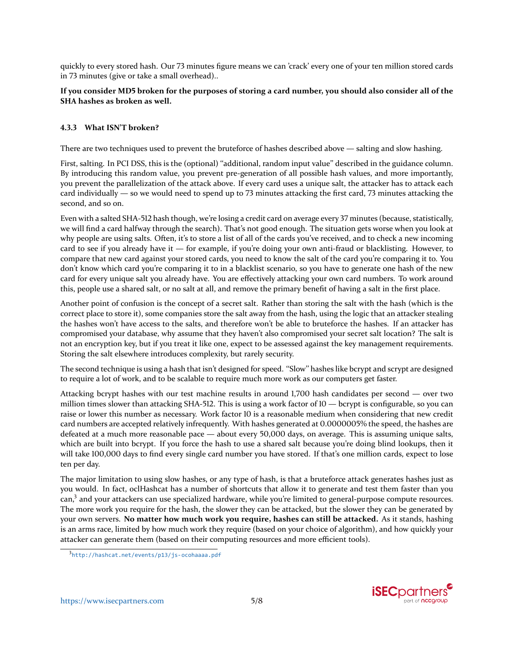quickly to every stored hash. Our 73 minutes figure means we can 'crack' every one of your ten million stored cards in 73 minutes (give or take a small overhead)..

#### **If you consider MD5 broken for the purposes of storing a card number, you should also consider all of the SHA hashes as broken as well.**

#### **4.3.3 What ISN'T broken?**

There are two techniques used to prevent the bruteforce of hashes described above — salting and slow hashing.

First, salting. In PCI DSS, this is the (optional) "additional, random input value" described in the guidance column. By introducing this random value, you prevent pre-generation of all possible hash values, and more importantly, you prevent the parallelization of the attack above. If every card uses a unique salt, the attacker has to attack each card individually — so we would need to spend up to 73 minutes attacking the first card, 73 minutes attacking the second, and so on.

Even with a salted SHA-512 hash though, we're losing a credit card on average every 37 minutes (because, statistically, we will find a card halfway through the search). That's not good enough. The situation gets worse when you look at why people are using salts. Often, it's to store a list of all of the cards you've received, and to check a new incoming card to see if you already have it — for example, if you're doing your own anti-fraud or blacklisting. However, to compare that new card against your stored cards, you need to know the salt of the card you're comparing it to. You don't know which card you're comparing it to in a blacklist scenario, so you have to generate one hash of the new card for every unique salt you already have. You are effectively attacking your own card numbers. To work around this, people use a shared salt, or no salt at all, and remove the primary benefit of having a salt in the first place.

Another point of confusion is the concept of a secret salt. Rather than storing the salt with the hash (which is the correct place to store it), some companies store the salt away from the hash, using the logic that an attacker stealing the hashes won't have access to the salts, and therefore won't be able to bruteforce the hashes. If an attacker has compromised your database, why assume that they haven't also compromised your secret salt location? The salt is not an encryption key, but if you treat it like one, expect to be assessed against the key management requirements. Storing the salt elsewhere introduces complexity, but rarely security.

The second technique is using a hash that isn't designed for speed. "Slow" hashes like bcrypt and scrypt are designed to require a lot of work, and to be scalable to require much more work as our computers get faster.

Attacking bcrypt hashes with our test machine results in around 1,700 hash candidates per second — over two million times slower than attacking SHA-512. This is using a work factor of 10 — bcrypt is configurable, so you can raise or lower this number as necessary. Work factor 10 is a reasonable medium when considering that new credit card numbers are accepted relatively infrequently. With hashes generated at 0.0000005% the speed, the hashes are defeated at a much more reasonable pace — about every 50,000 days, on average. This is assuming unique salts, which are built into bcrypt. If you force the hash to use a shared salt because you're doing blind lookups, then it will take 100,000 days to find every single card number you have stored. If that's one million cards, expect to lose ten per day.

The major limitation to using slow hashes, or any type of hash, is that a bruteforce attack generates hashes just as you would. In fact, oclHashcat has a number of shortcuts that allow it to generate and test them faster than you can,<sup>[3](#page-4-0)</sup> and your attackers can use specialized hardware, while you're limited to general-purpose compute resources. The more work you require for the hash, the slower they can be attacked, but the slower they can be generated by your own servers. **No matter how much work you require, hashes can still be attacked.** As it stands, hashing is an arms race, limited by how much work they require (based on your choice of algorithm), and how quickly your attacker can generate them (based on their computing resources and more efficient tools).



<span id="page-4-0"></span><sup>3</sup><http://hashcat.net/events/p13/js-ocohaaaa.pdf>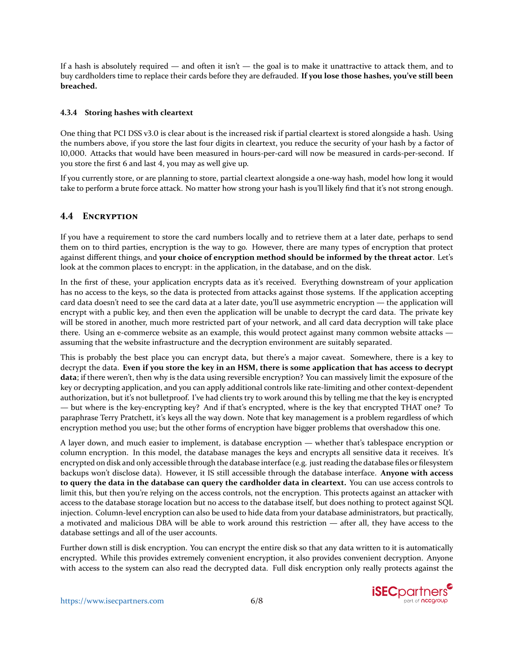If a hash is absolutely required — and often it isn't — the goal is to make it unattractive to attack them, and to buy cardholders time to replace their cards before they are defrauded. **If you lose those hashes, you've still been breached.**

#### **4.3.4 Storing hashes with cleartext**

One thing that PCI DSS v3.0 is clear about is the increased risk if partial cleartext is stored alongside a hash. Using the numbers above, if you store the last four digits in cleartext, you reduce the security of your hash by a factor of 10,000. Attacks that would have been measured in hours-per-card will now be measured in cards-per-second. If you store the first 6 and last 4, you may as well give up.

If you currently store, or are planning to store, partial cleartext alongside a one-way hash, model how long it would take to perform a brute force attack. No matter how strong your hash is you'll likely find that it's not strong enough.

### **4.4 ENCRYPTION**

If you have a requirement to store the card numbers locally and to retrieve them at a later date, perhaps to send them on to third parties, encryption is the way to go. However, there are many types of encryption that protect against different things, and **your choice of encryption method should be informed by the threat actor**. Let's look at the common places to encrypt: in the application, in the database, and on the disk.

In the first of these, your application encrypts data as it's received. Everything downstream of your application has no access to the keys, so the data is protected from attacks against those systems. If the application accepting card data doesn't need to see the card data at a later date, you'll use asymmetric encryption — the application will encrypt with a public key, and then even the application will be unable to decrypt the card data. The private key will be stored in another, much more restricted part of your network, and all card data decryption will take place there. Using an e-commerce website as an example, this would protect against many common website attacks assuming that the website infrastructure and the decryption environment are suitably separated.

This is probably the best place you can encrypt data, but there's a major caveat. Somewhere, there is a key to decrypt the data. **Even if you store the key in an HSM, there is some application that has access to decrypt data**; if there weren't, then why is the data using reversible encryption? You can massively limit the exposure of the key or decrypting application, and you can apply additional controls like rate-limiting and other context-dependent authorization, but it's not bulletproof. I've had clients try to work around this by telling me that the key is encrypted — but where is the key-encrypting key? And if that's encrypted, where is the key that encrypted THAT one? To paraphrase Terry Pratchett, it's keys all the way down. Note that key management is a problem regardless of which encryption method you use; but the other forms of encryption have bigger problems that overshadow this one.

A layer down, and much easier to implement, is database encryption — whether that's tablespace encryption or column encryption. In this model, the database manages the keys and encrypts all sensitive data it receives. It's encrypted on disk and only accessible through the database interface (e.g. just reading the database files or filesystem backups won't disclose data). However, it IS still accessible through the database interface. **Anyone with access to query the data in the database can query the cardholder data in cleartext.** You can use access controls to limit this, but then you're relying on the access controls, not the encryption. This protects against an attacker with access to the database storage location but no access to the database itself, but does nothing to protect against SQL injection. Column-level encryption can also be used to hide data from your database administrators, but practically, a motivated and malicious DBA will be able to work around this restriction — after all, they have access to the database settings and all of the user accounts.

Further down still is disk encryption. You can encrypt the entire disk so that any data written to it is automatically encrypted. While this provides extremely convenient encryption, it also provides convenient decryption. Anyone with access to the system can also read the decrypted data. Full disk encryption only really protects against the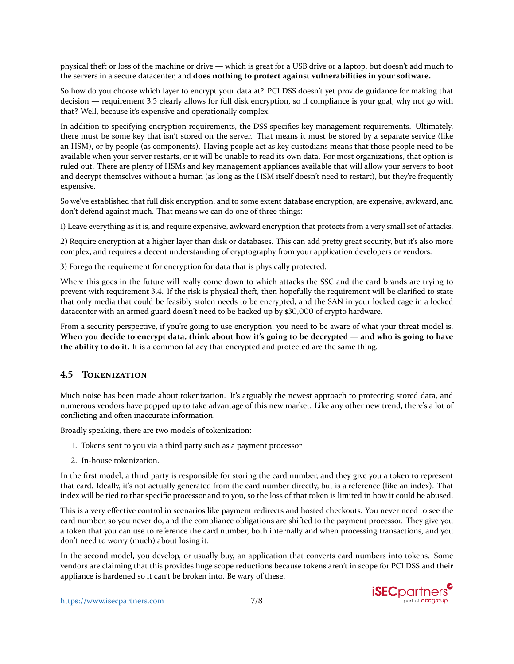physical theft or loss of the machine or drive — which is great for a USB drive or a laptop, but doesn't add much to the servers in a secure datacenter, and **does nothing to protect against vulnerabilities in your software.**

So how do you choose which layer to encrypt your data at? PCI DSS doesn't yet provide guidance for making that decision — requirement 3.5 clearly allows for full disk encryption, so if compliance is your goal, why not go with that? Well, because it's expensive and operationally complex.

In addition to specifying encryption requirements, the DSS specifies key management requirements. Ultimately, there must be some key that isn't stored on the server. That means it must be stored by a separate service (like an HSM), or by people (as components). Having people act as key custodians means that those people need to be available when your server restarts, or it will be unable to read its own data. For most organizations, that option is ruled out. There are plenty of HSMs and key management appliances available that will allow your servers to boot and decrypt themselves without a human (as long as the HSM itself doesn't need to restart), but they're frequently expensive.

So we've established that full disk encryption, and to some extent database encryption, are expensive, awkward, and don't defend against much. That means we can do one of three things:

1) Leave everything as it is, and require expensive, awkward encryption that protects from a very small set of attacks.

2) Require encryption at a higher layer than disk or databases. This can add pretty great security, but it's also more complex, and requires a decent understanding of cryptography from your application developers or vendors.

3) Forego the requirement for encryption for data that is physically protected.

Where this goes in the future will really come down to which attacks the SSC and the card brands are trying to prevent with requirement 3.4. If the risk is physical theft, then hopefully the requirement will be clarified to state that only media that could be feasibly stolen needs to be encrypted, and the SAN in your locked cage in a locked datacenter with an armed guard doesn't need to be backed up by \$30,000 of crypto hardware.

From a security perspective, if you're going to use encryption, you need to be aware of what your threat model is. **When you decide to encrypt data, think about how it's going to be decrypted — and who is going to have the ability to do it.** It is a common fallacy that encrypted and protected are the same thing.

## **4.5 TOKENIZATION**

Much noise has been made about tokenization. It's arguably the newest approach to protecting stored data, and numerous vendors have popped up to take advantage of this new market. Like any other new trend, there's a lot of conflicting and often inaccurate information.

Broadly speaking, there are two models of tokenization:

- 1. Tokens sent to you via a third party such as a payment processor
- 2. In-house tokenization.

In the first model, a third party is responsible for storing the card number, and they give you a token to represent that card. Ideally, it's not actually generated from the card number directly, but is a reference (like an index). That index will be tied to that specific processor and to you, so the loss of that token is limited in how it could be abused.

This is a very effective control in scenarios like payment redirects and hosted checkouts. You never need to see the card number, so you never do, and the compliance obligations are shifted to the payment processor. They give you a token that you can use to reference the card number, both internally and when processing transactions, and you don't need to worry (much) about losing it.

In the second model, you develop, or usually buy, an application that converts card numbers into tokens. Some vendors are claiming that this provides huge scope reductions because tokens aren't in scope for PCI DSS and their appliance is hardened so it can't be broken into. Be wary of these.

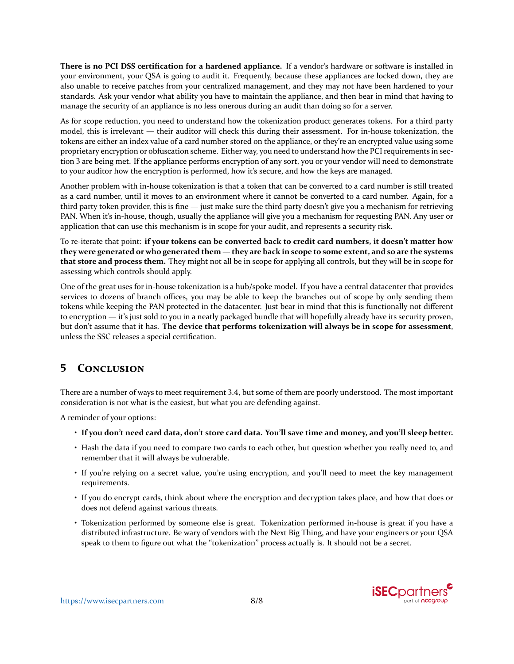<span id="page-7-0"></span>**There is no PCI DSS certification for a hardened appliance.** If a vendor's hardware or software is installed in your environment, your QSA is going to audit it. Frequently, because these appliances are locked down, they are also unable to receive patches from your centralized management, and they may not have been hardened to your standards. Ask your vendor what ability you have to maintain the appliance, and then bear in mind that having to manage the security of an appliance is no less onerous during an audit than doing so for a server.

As for scope reduction, you need to understand how the tokenization product generates tokens. For a third party model, this is irrelevant — their auditor will check this during their assessment. For in-house tokenization, the tokens are either an index value of a card number stored on the appliance, or they're an encrypted value using some proprietary encryption or obfuscation scheme. Either way, you need to understand how the PCI requirements in section 3 are being met. If the appliance performs encryption of any sort, you or your vendor will need to demonstrate to your auditor how the encryption is performed, how it's secure, and how the keys are managed.

Another problem with in-house tokenization is that a token that can be converted to a card number is still treated as a card number, until it moves to an environment where it cannot be converted to a card number. Again, for a third party token provider, this is fine — just make sure the third party doesn't give you a mechanism for retrieving PAN. When it's in-house, though, usually the appliance will give you a mechanism for requesting PAN. Any user or application that can use this mechanism is in scope for your audit, and represents a security risk.

To re-iterate that point: **if your tokens can be converted back to credit card numbers, it doesn't matter how they were generated or who generated them — they are back in scope to some extent, and so are the systems that store and process them.** They might not all be in scope for applying all controls, but they will be in scope for assessing which controls should apply.

One of the great uses for in-house tokenization is a hub/spoke model. If you have a central datacenter that provides services to dozens of branch offices, you may be able to keep the branches out of scope by only sending them tokens while keeping the PAN protected in the datacenter. Just bear in mind that this is functionally not different to encryption — it's just sold to you in a neatly packaged bundle that will hopefully already have its security proven, but don't assume that it has. **The device that performs tokenization will always be in scope for assessment**, unless the SSC releases a special certification.

## **5 CONCLUSION**

There are a number of ways to meet requirement 3.4, but some of them are poorly understood. The most important consideration is not what is the easiest, but what you are defending against.

A reminder of your options:

- **If you don't need card data, don't store card data. You'll save time and money, and you'll sleep better.**
- Hash the data if you need to compare two cards to each other, but question whether you really need to, and remember that it will always be vulnerable.
- If you're relying on a secret value, you're using encryption, and you'll need to meet the key management requirements.
- If you do encrypt cards, think about where the encryption and decryption takes place, and how that does or does not defend against various threats.
- Tokenization performed by someone else is great. Tokenization performed in-house is great if you have a distributed infrastructure. Be wary of vendors with the Next Big Thing, and have your engineers or your QSA speak to them to figure out what the "tokenization" process actually is. It should not be a secret.